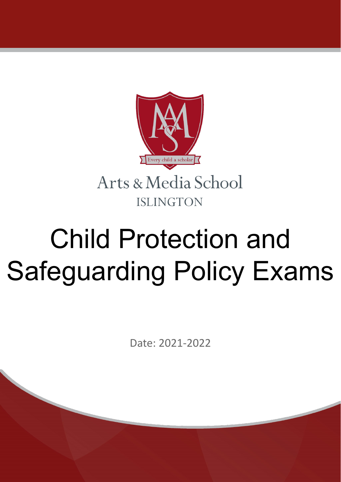

# Child Protection and Safeguarding Policy Exams

Date: 2021-2022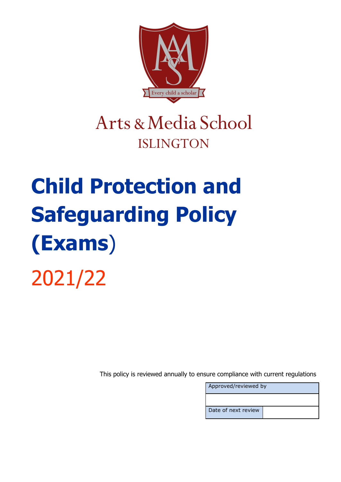

### Arts & Media School **ISLINGTON**

## **Child Protection and Safeguarding Policy (Exams**) 2021/22

This policy is reviewed annually to ensure compliance with current regulations

| Approved/reviewed by |  |
|----------------------|--|
|                      |  |
| Date of next review  |  |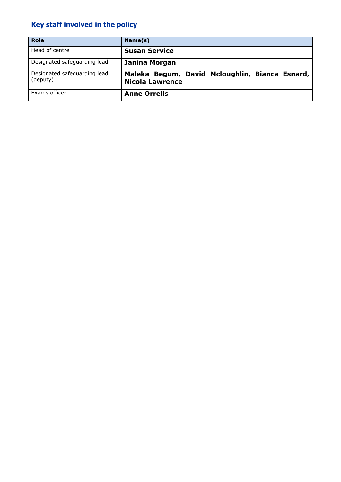### **Key staff involved in the policy**

| <b>Role</b>                              | Name(s)                                                                  |
|------------------------------------------|--------------------------------------------------------------------------|
| Head of centre                           | <b>Susan Service</b>                                                     |
| Designated safeguarding lead             | <b>Janina Morgan</b>                                                     |
| Designated safeguarding lead<br>(deputy) | Maleka Begum, David Mcloughlin, Bianca Esnard,<br><b>Nicola Lawrence</b> |
| Exams officer                            | <b>Anne Orrells</b>                                                      |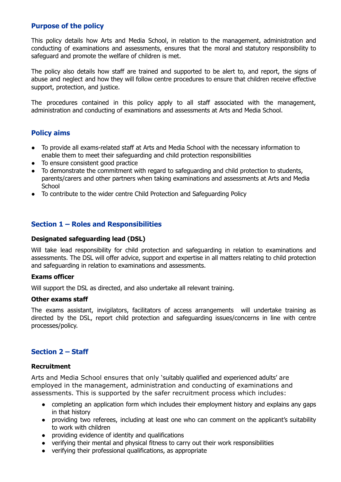#### **Purpose of the policy**

This policy details how Arts and Media School, in relation to the management, administration and conducting of examinations and assessments, ensures that the moral and statutory responsibility to safeguard and promote the welfare of children is met.

The policy also details how staff are trained and supported to be alert to, and report, the signs of abuse and neglect and how they will follow centre procedures to ensure that children receive effective support, protection, and justice.

The procedures contained in this policy apply to all staff associated with the management, administration and conducting of examinations and assessments at Arts and Media School.

#### **Policy aims**

- To provide all exams-related staff at Arts and Media School with the necessary information to enable them to meet their safeguarding and child protection responsibilities
- To ensure consistent good practice
- To demonstrate the commitment with regard to safeguarding and child protection to students, parents/carers and other partners when taking examinations and assessments at Arts and Media **School**
- To contribute to the wider centre Child Protection and Safeguarding Policy

#### **Section 1 – Roles and Responsibilities**

#### **Designated safeguarding lead (DSL)**

Will take lead responsibility for child protection and safeguarding in relation to examinations and assessments. The DSL will offer advice, support and expertise in all matters relating to child protection and safeguarding in relation to examinations and assessments.

#### **Exams officer**

Will support the DSL as directed, and also undertake all relevant training.

#### **Other exams staff**

The exams assistant, invigilators, facilitators of access arrangements will undertake training as directed by the DSL, report child protection and safeguarding issues/concerns in line with centre processes/policy.

#### **Section 2 – Staff**

#### **Recruitment**

Arts and Media School ensures that only 'suitably qualified and experienced adults' are employed in the management, administration and conducting of examinations and assessments. This is supported by the safer recruitment process which includes:

- completing an application form which includes their employment history and explains any gaps in that history
- providing two referees, including at least one who can comment on the applicant's suitability to work with children
- providing evidence of identity and qualifications
- verifying their mental and physical fitness to carry out their work responsibilities
- verifying their professional qualifications, as appropriate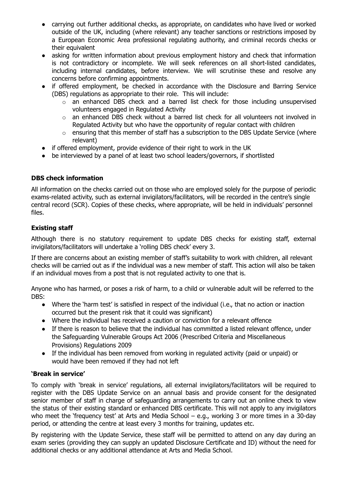- carrying out further additional checks, as appropriate, on candidates who have lived or worked outside of the UK, including (where relevant) any teacher sanctions or restrictions imposed by a European Economic Area professional regulating authority, and criminal records checks or their equivalent
- asking for written information about previous employment history and check that information is not contradictory or incomplete. We will seek references on all short-listed candidates, including internal candidates, before interview. We will scrutinise these and resolve any concerns before confirming appointments.
- if offered employment, be checked in accordance with the Disclosure and Barring Service (DBS) regulations as appropriate to their role. This will include:
	- o an enhanced DBS check and a barred list check for those including unsupervised volunteers engaged in Regulated Activity
	- $\circ$  an enhanced DBS check without a barred list check for all volunteers not involved in Regulated Activity but who have the opportunity of regular contact with children
	- o ensuring that this member of staff has a subscription to the DBS Update Service (where relevant)
- if offered employment, provide evidence of their right to work in the UK
- be interviewed by a panel of at least two school leaders/governors, if shortlisted

#### **DBS check information**

All information on the checks carried out on those who are employed solely for the purpose of periodic exams-related activity, such as external invigilators/facilitators, will be recorded in the centre's single central record (SCR). Copies of these checks, where appropriate, will be held in individuals' personnel files.

#### **Existing staff**

Although there is no statutory requirement to update DBS checks for existing staff, external invigilators/facilitators will undertake a 'rolling DBS check' every 3.

If there are concerns about an existing member of staff's suitability to work with children, all relevant checks will be carried out as if the individual was a new member of staff. This action will also be taken if an individual moves from a post that is not regulated activity to one that is.

Anyone who has harmed, or poses a risk of harm, to a child or vulnerable adult will be referred to the DBS:

- Where the 'harm test' is satisfied in respect of the individual (i.e., that no action or inaction occurred but the present risk that it could was significant)
- Where the individual has received a caution or conviction for a relevant offence
- If there is reason to believe that the individual has committed a listed relevant offence, under the Safeguarding Vulnerable Groups Act 2006 (Prescribed Criteria and Miscellaneous Provisions) Regulations 2009
- If the individual has been removed from working in regulated activity (paid or unpaid) or would have been removed if they had not left

#### **'Break in service'**

To comply with 'break in service' regulations, all external invigilators/facilitators will be required to register with the DBS Update Service on an annual basis and provide consent for the designated senior member of staff in charge of safeguarding arrangements to carry out an online check to view the status of their existing standard or enhanced DBS certificate. This will not apply to any invigilators who meet the 'frequency test' at Arts and Media School – e.g., working 3 or more times in a 30-day period, or attending the centre at least every 3 months for training, updates etc.

By registering with the Update Service, these staff will be permitted to attend on any day during an exam series (providing they can supply an updated Disclosure Certificate and ID) without the need for additional checks or any additional attendance at Arts and Media School.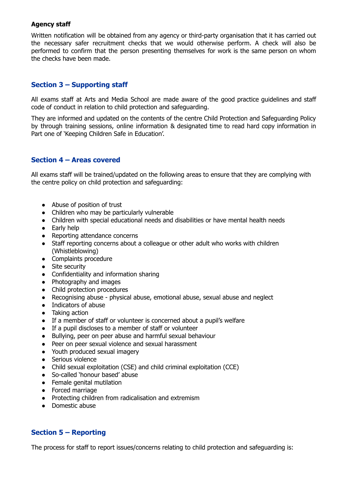#### **Agency staff**

Written notification will be obtained from any agency or third-party organisation that it has carried out the necessary safer recruitment checks that we would otherwise perform. A check will also be performed to confirm that the person presenting themselves for work is the same person on whom the checks have been made.

#### **Section 3 – Supporting staff**

All exams staff at Arts and Media School are made aware of the good practice guidelines and staff code of conduct in relation to child protection and safeguarding.

They are informed and updated on the contents of the centre Child Protection and Safeguarding Policy by through training sessions, online information & designated time to read hard copy information in Part one of 'Keeping Children Safe in Education'.

#### **Section 4 – Areas covered**

All exams staff will be trained/updated on the following areas to ensure that they are complying with the centre policy on child protection and safeguarding:

- Abuse of position of trust
- Children who may be particularly vulnerable
- Children with special educational needs and disabilities or have mental health needs
- Early help
- Reporting attendance concerns
- Staff reporting concerns about a colleague or other adult who works with children (Whistleblowing)
- Complaints procedure
- Site security
- Confidentiality and information sharing
- Photography and images
- Child protection procedures
- Recognising abuse physical abuse, emotional abuse, sexual abuse and neglect
- Indicators of abuse
- Taking action
- If a member of staff or volunteer is concerned about a pupil's welfare
- If a pupil discloses to a member of staff or volunteer
- Bullying, peer on peer abuse and harmful sexual behaviour
- Peer on peer sexual violence and sexual harassment
- Youth produced sexual imagery
- Serious violence
- Child sexual exploitation (CSE) and child criminal exploitation (CCE)
- So-called 'honour based' abuse
- Female genital mutilation
- Forced marriage
- Protecting children from radicalisation and extremism
- Domestic abuse

#### **Section 5 – Reporting**

The process for staff to report issues/concerns relating to child protection and safeguarding is: